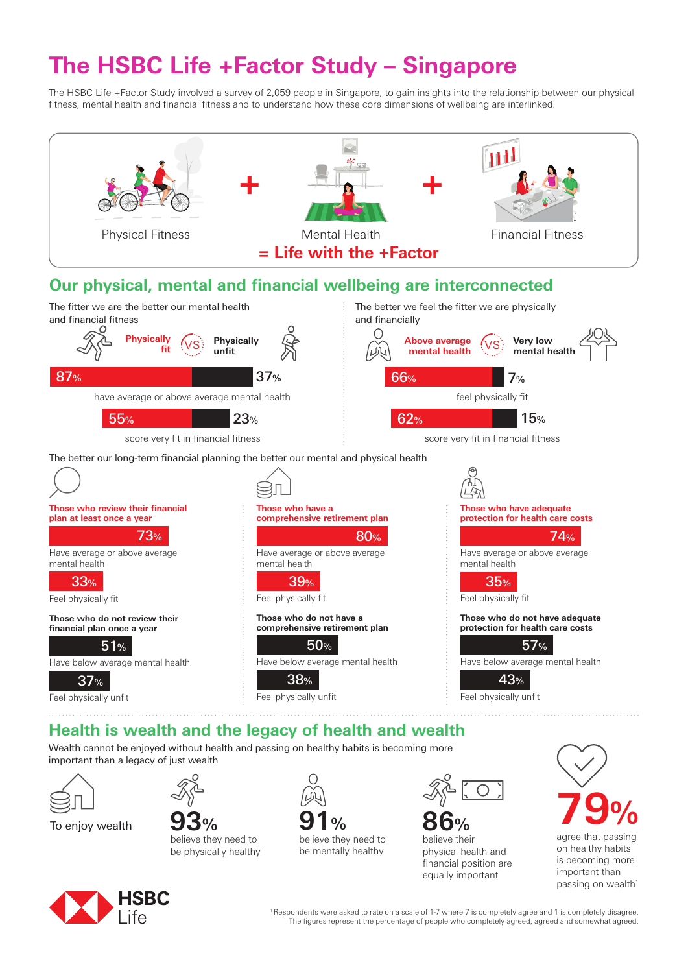# **The HSBC Life +Factor Study – Singapore**

The HSBC Life +Factor Study involved a survey of 2,059 people in Singapore, to gain insights into the relationship between our physical fitness, mental health and financial fitness and to understand how these core dimensions of wellbeing are interlinked.



Wealth cannot be enjoyed without health and passing on healthy habits is becoming more important than a legacy of just wealth



**93%** believe they need to be physically healthy



believe they need to be mentally healthy



**86%** believe their physical health and financial position are equally important



important than passing on wealth<sup>1</sup>



1 Respondents were asked to rate on a scale of 1-7 where 7 is completely agree and 1 is completely disagree. The figures represent the percentage of people who completely agreed, agreed and somewhat agreed.